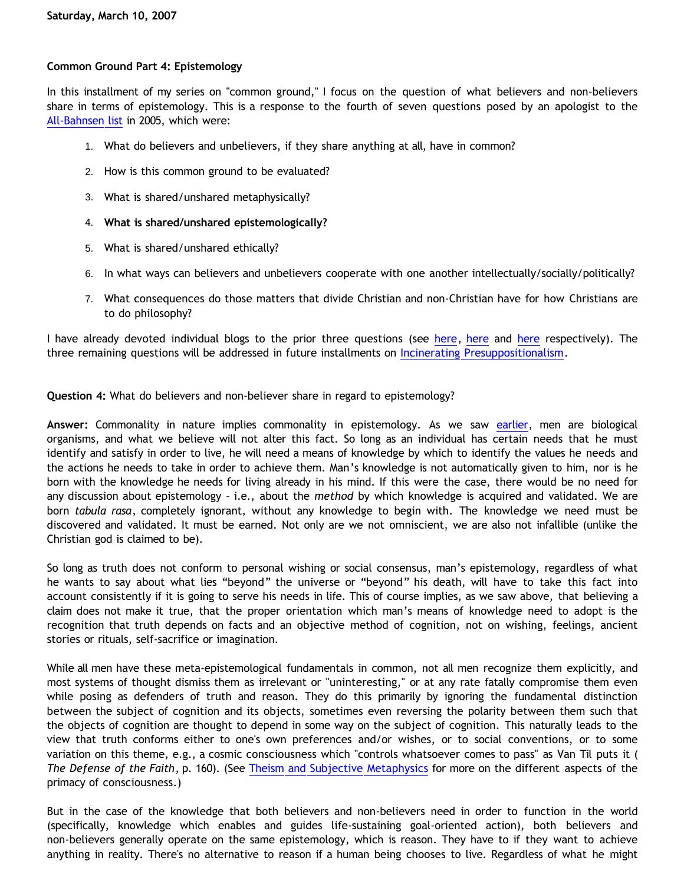## **Common Ground Part 4: Epistemology**

In this installment of my series on "common ground," I focus on the question of what believers and non-believers share in terms of epistemology. This is a response to the fourth of seven questions posed by an apologist to the [All-Bahnsen list](http://groups.yahoo.com/group/all-bahnsen/) in 2005, which were:

- 1. What do believers and unbelievers, if they share anything at all, have in common?
- 2. How is this common ground to be evaluated?
- 3. What is shared/unshared metaphysically?
- 4. **What is shared/unshared epistemologically?**
- 5. What is shared/unshared ethically?
- 6. In what ways can believers and unbelievers cooperate with one another intellectually/socially/politically?
- 7. What consequences do those matters that divide Christian and non-Christian have for how Christians are to do philosophy?

I have already devoted individual blogs to the prior three questions (see [here,](http://bahnsenburner.blogspot.com/2007/01/common-ground.html) [here](http://bahnsenburner.blogspot.com/2007/03/common-ground-part-3-metaphysics.html) and here respectively). The three remaining questions will be addressed in future installments on [Incinerating Presuppositionalism](http://bahnsenburner.blogspot.com/).

**Question 4:** What do believers and non-believer share in regard to epistemology?

**Answer:** Commonality in nature implies commonality in epistemology. As we saw [earlier](http://bahnsenburner.blogspot.com/2007/03/common-ground-part-3-metaphysics.html), men are biological organisms, and what we believe will not alter this fact. So long as an individual has certain needs that he must identify and satisfy in order to live, he will need a means of knowledge by which to identify the values he needs and the actions he needs to take in order to achieve them. Man's knowledge is not automatically given to him, nor is he born with the knowledge he needs for living already in his mind. If this were the case, there would be no need for any discussion about epistemology – i.e., about the *method* by which knowledge is acquired and validated. We are born *tabula rasa*, completely ignorant, without any knowledge to begin with. The knowledge we need must be discovered and validated. It must be earned. Not only are we not omniscient, we are also not infallible (unlike the Christian god is claimed to be).

So long as truth does not conform to personal wishing or social consensus, man's epistemology, regardless of what he wants to say about what lies "beyond" the universe or "beyond" his death, will have to take this fact into account consistently if it is going to serve his needs in life. This of course implies, as we saw above, that believing a claim does not make it true, that the proper orientation which man's means of knowledge need to adopt is the recognition that truth depends on facts and an objective method of cognition, not on wishing, feelings, ancient stories or rituals, self-sacrifice or imagination.

While all men have these meta-epistemological fundamentals in common, not all men recognize them explicitly, and most systems of thought dismiss them as irrelevant or "uninteresting," or at any rate fatally compromise them even while posing as defenders of truth and reason. They do this primarily by ignoring the fundamental distinction between the subject of cognition and its objects, sometimes even reversing the polarity between them such that the objects of cognition are thought to depend in some way on the subject of cognition. This naturally leads to the view that truth conforms either to one's own preferences and/or wishes, or to social conventions, or to some variation on this theme, e.g., a cosmic consciousness which "controls whatsoever comes to pass" as Van Til puts it ( *The Defense of the Faith*, p. 160). (See [Theism and Subjective Metaphysics](http://bahnsenburner.blogspot.com/2006/12/theism-and-subjective-metaphysics.html) for more on the different aspects of the primacy of consciousness.)

But in the case of the knowledge that both believers and non-believers need in order to function in the world (specifically, knowledge which enables and guides life-sustaining goal-oriented action), both believers and non-believers generally operate on the same epistemology, which is reason. They have to if they want to achieve anything in reality. There's no alternative to reason if a human being chooses to live. Regardless of what he might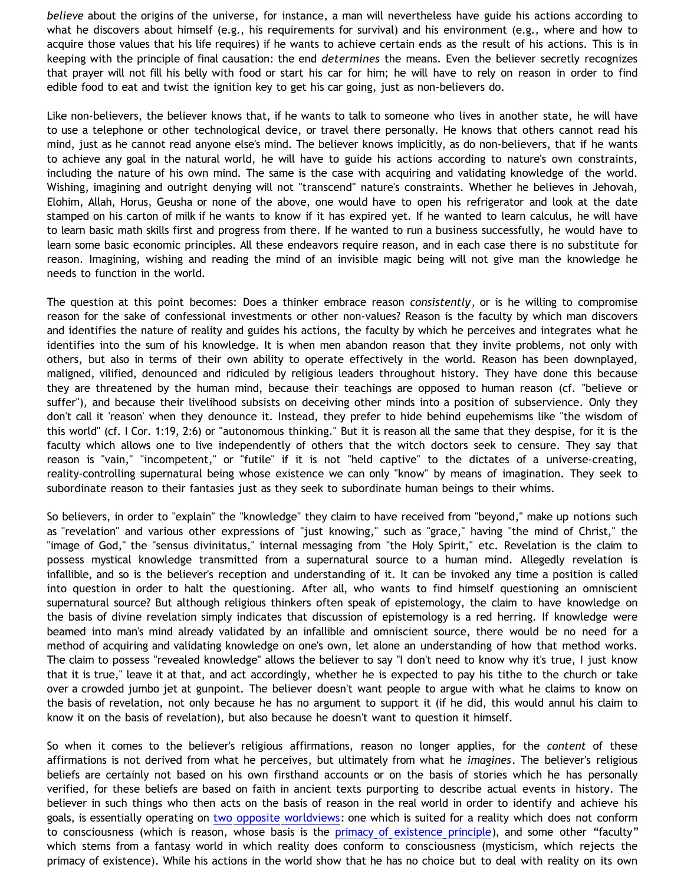*believe* about the origins of the universe, for instance, a man will nevertheless have guide his actions according to what he discovers about himself (e.g., his requirements for survival) and his environment (e.g., where and how to acquire those values that his life requires) if he wants to achieve certain ends as the result of his actions. This is in keeping with the principle of final causation: the end *determines* the means. Even the believer secretly recognizes that prayer will not fill his belly with food or start his car for him; he will have to rely on reason in order to find edible food to eat and twist the ignition key to get his car going, just as non-believers do.

Like non-believers, the believer knows that, if he wants to talk to someone who lives in another state, he will have to use a telephone or other technological device, or travel there personally. He knows that others cannot read his mind, just as he cannot read anyone else's mind. The believer knows implicitly, as do non-believers, that if he wants to achieve any goal in the natural world, he will have to guide his actions according to nature's own constraints, including the nature of his own mind. The same is the case with acquiring and validating knowledge of the world. Wishing, imagining and outright denying will not "transcend" nature's constraints. Whether he believes in Jehovah, Elohim, Allah, Horus, Geusha or none of the above, one would have to open his refrigerator and look at the date stamped on his carton of milk if he wants to know if it has expired yet. If he wanted to learn calculus, he will have to learn basic math skills first and progress from there. If he wanted to run a business successfully, he would have to learn some basic economic principles. All these endeavors require reason, and in each case there is no substitute for reason. Imagining, wishing and reading the mind of an invisible magic being will not give man the knowledge he needs to function in the world.

The question at this point becomes: Does a thinker embrace reason *consistently*, or is he willing to compromise reason for the sake of confessional investments or other non-values? Reason is the faculty by which man discovers and identifies the nature of reality and guides his actions, the faculty by which he perceives and integrates what he identifies into the sum of his knowledge. It is when men abandon reason that they invite problems, not only with others, but also in terms of their own ability to operate effectively in the world. Reason has been downplayed, maligned, vilified, denounced and ridiculed by religious leaders throughout history. They have done this because they are threatened by the human mind, because their teachings are opposed to human reason (cf. "believe or suffer"), and because their livelihood subsists on deceiving other minds into a position of subservience. Only they don't call it 'reason' when they denounce it. Instead, they prefer to hide behind eupehemisms like "the wisdom of this world" (cf. I Cor. 1:19, 2:6) or "autonomous thinking." But it is reason all the same that they despise, for it is the faculty which allows one to live independently of others that the witch doctors seek to censure. They say that reason is "vain," "incompetent," or "futile" if it is not "held captive" to the dictates of a universe-creating, reality-controlling supernatural being whose existence we can only "know" by means of imagination. They seek to subordinate reason to their fantasies just as they seek to subordinate human beings to their whims.

So believers, in order to "explain" the "knowledge" they claim to have received from "beyond," make up notions such as "revelation" and various other expressions of "just knowing," such as "grace," having "the mind of Christ," the "image of God," the "sensus divinitatus," internal messaging from "the Holy Spirit," etc. Revelation is the claim to possess mystical knowledge transmitted from a supernatural source to a human mind. Allegedly revelation is infallible, and so is the believer's reception and understanding of it. It can be invoked any time a position is called into question in order to halt the questioning. After all, who wants to find himself questioning an omniscient supernatural source? But although religious thinkers often speak of epistemology, the claim to have knowledge on the basis of divine revelation simply indicates that discussion of epistemology is a red herring. If knowledge were beamed into man's mind already validated by an infallible and omniscient source, there would be no need for a method of acquiring and validating knowledge on one's own, let alone an understanding of how that method works. The claim to possess "revealed knowledge" allows the believer to say "I don't need to know why it's true, I just know that it is true," leave it at that, and act accordingly, whether he is expected to pay his tithe to the church or take over a crowded jumbo jet at gunpoint. The believer doesn't want people to argue with what he claims to know on the basis of revelation, not only because he has no argument to support it (if he did, this would annul his claim to know it on the basis of revelation), but also because he doesn't want to question it himself.

So when it comes to the believer's religious affirmations, reason no longer applies, for the *content* of these affirmations is not derived from what he perceives, but ultimately from what he *imagines*. The believer's religious beliefs are certainly not based on his own firsthand accounts or on the basis of stories which he has personally verified, for these beliefs are based on faith in ancient texts purporting to describe actual events in history. The believer in such things who then acts on the basis of reason in the real world in order to identify and achieve his goals, is essentially operating on [two opposite worldviews](http://bahnsenburner.blogspot.com/2005/07/only-two-worldviews.html): one which is suited for a reality which does not conform to consciousness (which is reason, whose basis is the [primacy of existence principle\)](http://www.geocities.com/katholon/poe.htm), and some other "faculty" which stems from a fantasy world in which reality does conform to consciousness (mysticism, which rejects the primacy of existence). While his actions in the world show that he has no choice but to deal with reality on its own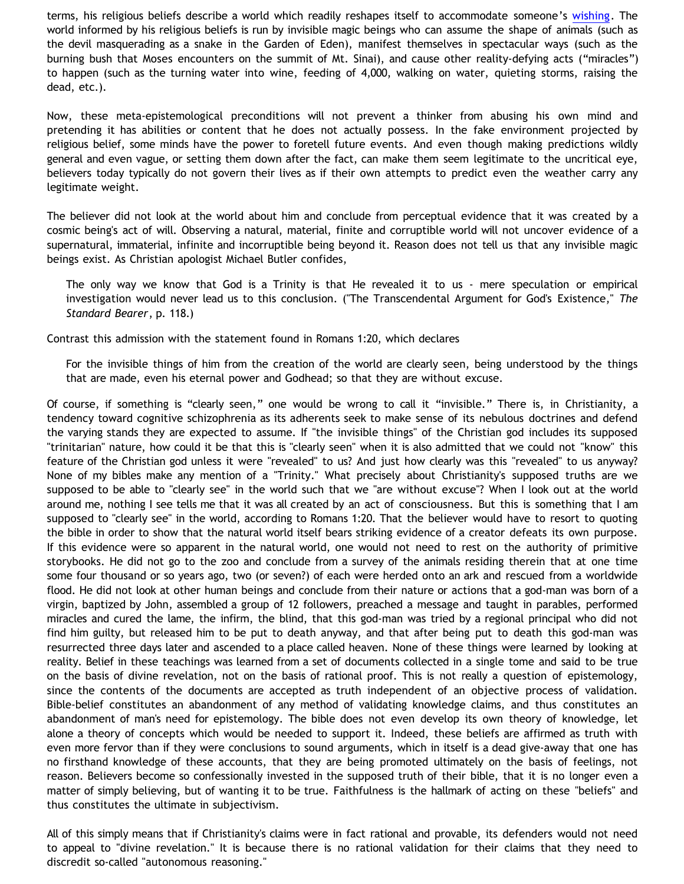terms, his religious beliefs describe a world which readily reshapes itself to accommodate someone's [wishing.](http://bahnsenburner.blogspot.com/2006/12/wishing-and-christian-deity.html) The world informed by his religious beliefs is run by invisible magic beings who can assume the shape of animals (such as the devil masquerading as a snake in the Garden of Eden), manifest themselves in spectacular ways (such as the burning bush that Moses encounters on the summit of Mt. Sinai), and cause other reality-defying acts ("miracles") to happen (such as the turning water into wine, feeding of 4,000, walking on water, quieting storms, raising the dead, etc.).

Now, these meta-epistemological preconditions will not prevent a thinker from abusing his own mind and pretending it has abilities or content that he does not actually possess. In the fake environment projected by religious belief, some minds have the power to foretell future events. And even though making predictions wildly general and even vague, or setting them down after the fact, can make them seem legitimate to the uncritical eye, believers today typically do not govern their lives as if their own attempts to predict even the weather carry any legitimate weight.

The believer did not look at the world about him and conclude from perceptual evidence that it was created by a cosmic being's act of will. Observing a natural, material, finite and corruptible world will not uncover evidence of a supernatural, immaterial, infinite and incorruptible being beyond it. Reason does not tell us that any invisible magic beings exist. As Christian apologist Michael Butler confides,

The only way we know that God is a Trinity is that He revealed it to us - mere speculation or empirical investigation would never lead us to this conclusion. ("The Transcendental Argument for God's Existence," *The Standard Bearer*, p. 118.)

Contrast this admission with the statement found in Romans 1:20, which declares

For the invisible things of him from the creation of the world are clearly seen, being understood by the things that are made, even his eternal power and Godhead; so that they are without excuse.

Of course, if something is "clearly seen," one would be wrong to call it "invisible." There is, in Christianity, a tendency toward cognitive schizophrenia as its adherents seek to make sense of its nebulous doctrines and defend the varying stands they are expected to assume. If "the invisible things" of the Christian god includes its supposed "trinitarian" nature, how could it be that this is "clearly seen" when it is also admitted that we could not "know" this feature of the Christian god unless it were "revealed" to us? And just how clearly was this "revealed" to us anyway? None of my bibles make any mention of a "Trinity." What precisely about Christianity's supposed truths are we supposed to be able to "clearly see" in the world such that we "are without excuse"? When I look out at the world around me, nothing I see tells me that it was all created by an act of consciousness. But this is something that I am supposed to "clearly see" in the world, according to Romans 1:20. That the believer would have to resort to quoting the bible in order to show that the natural world itself bears striking evidence of a creator defeats its own purpose. If this evidence were so apparent in the natural world, one would not need to rest on the authority of primitive storybooks. He did not go to the zoo and conclude from a survey of the animals residing therein that at one time some four thousand or so years ago, two (or seven?) of each were herded onto an ark and rescued from a worldwide flood. He did not look at other human beings and conclude from their nature or actions that a god-man was born of a virgin, baptized by John, assembled a group of 12 followers, preached a message and taught in parables, performed miracles and cured the lame, the infirm, the blind, that this god-man was tried by a regional principal who did not find him guilty, but released him to be put to death anyway, and that after being put to death this god-man was resurrected three days later and ascended to a place called heaven. None of these things were learned by looking at reality. Belief in these teachings was learned from a set of documents collected in a single tome and said to be true on the basis of divine revelation, not on the basis of rational proof. This is not really a question of epistemology, since the contents of the documents are accepted as truth independent of an objective process of validation. Bible-belief constitutes an abandonment of any method of validating knowledge claims, and thus constitutes an abandonment of man's need for epistemology. The bible does not even develop its own theory of knowledge, let alone a theory of concepts which would be needed to support it. Indeed, these beliefs are affirmed as truth with even more fervor than if they were conclusions to sound arguments, which in itself is a dead give-away that one has no firsthand knowledge of these accounts, that they are being promoted ultimately on the basis of feelings, not reason. Believers become so confessionally invested in the supposed truth of their bible, that it is no longer even a matter of simply believing, but of wanting it to be true. Faithfulness is the hallmark of acting on these "beliefs" and thus constitutes the ultimate in subjectivism.

All of this simply means that if Christianity's claims were in fact rational and provable, its defenders would not need to appeal to "divine revelation." It is because there is no rational validation for their claims that they need to discredit so-called "autonomous reasoning."